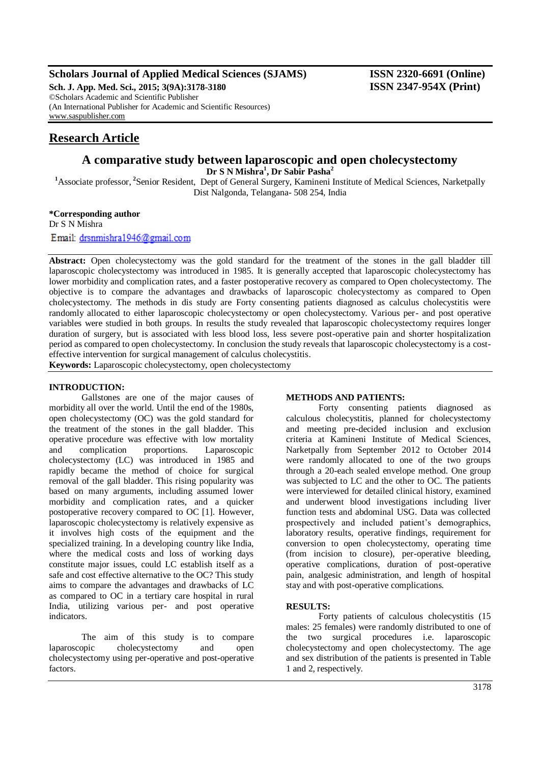### **Scholars Journal of Applied Medical Sciences (SJAMS) ISSN 2320-6691 (Online)**

**Sch. J. App. Med. Sci., 2015; 3(9A):3178-3180 ISSN 2347-954X (Print)** ©Scholars Academic and Scientific Publisher (An International Publisher for Academic and Scientific Resources) [www.saspublisher.com](http://www.saspublisher.com/)

## **Research Article**

# **A comparative study between laparoscopic and open cholecystectomy**

**Dr S N Mishra<sup>1</sup> , Dr Sabir Pasha<sup>2</sup>**

<sup>1</sup>Associate professor, <sup>2</sup>Senior Resident, Dept of General Surgery, Kamineni Institute of Medical Sciences, Narketpally Dist Nalgonda, Telangana- 508 254, India

**\*Corresponding author** Dr S N Mishra Email: drsnmishra1946@gmail.com

Abstract: Open cholecystectomy was the gold standard for the treatment of the stones in the gall bladder till laparoscopic cholecystectomy was introduced in 1985. It is generally accepted that laparoscopic cholecystectomy has lower morbidity and complication rates, and a faster postoperative recovery as compared to Open cholecystectomy. The objective is to compare the advantages and drawbacks of laparoscopic cholecystectomy as compared to Open cholecystectomy. The methods in dis study are Forty consenting patients diagnosed as calculus cholecystitis were randomly allocated to either laparoscopic cholecystectomy or open cholecystectomy. Various per- and post operative variables were studied in both groups. In results the study revealed that laparoscopic cholecystectomy requires longer duration of surgery, but is associated with less blood loss, less severe post-operative pain and shorter hospitalization period as compared to open cholecystectomy. In conclusion the study reveals that laparoscopic cholecystectomy is a costeffective intervention for surgical management of calculus cholecystitis.

**Keywords:** Laparoscopic cholecystectomy, open cholecystectomy

#### **INTRODUCTION:**

Gallstones are one of the major causes of morbidity all over the world. Until the end of the 1980s, open cholecystectomy (OC) was the gold standard for the treatment of the stones in the gall bladder. This operative procedure was effective with low mortality and complication proportions. Laparoscopic cholecystectomy (LC) was introduced in 1985 and rapidly became the method of choice for surgical removal of the gall bladder. This rising popularity was based on many arguments, including assumed lower morbidity and complication rates, and a quicker postoperative recovery compared to OC [1]. However, laparoscopic cholecystectomy is relatively expensive as it involves high costs of the equipment and the specialized training. In a developing country like India, where the medical costs and loss of working days constitute major issues, could LC establish itself as a safe and cost effective alternative to the OC? This study aims to compare the advantages and drawbacks of LC as compared to OC in a tertiary care hospital in rural India, utilizing various per- and post operative indicators.

The aim of this study is to compare laparoscopic cholecystectomy and open cholecystectomy using per-operative and post-operative factors.

#### **METHODS AND PATIENTS:**

Forty consenting patients diagnosed as calculous cholecystitis, planned for cholecystectomy and meeting pre-decided inclusion and exclusion criteria at Kamineni Institute of Medical Sciences, Narketpally from September 2012 to October 2014 were randomly allocated to one of the two groups through a 20-each sealed envelope method. One group was subjected to LC and the other to OC. The patients were interviewed for detailed clinical history, examined and underwent blood investigations including liver function tests and abdominal USG. Data was collected prospectively and included patient's demographics, laboratory results, operative findings, requirement for conversion to open cholecystectomy, operating time (from incision to closure), per-operative bleeding, operative complications, duration of post-operative pain, analgesic administration, and length of hospital stay and with post-operative complications.

#### **RESULTS:**

Forty patients of calculous cholecystitis (15 males: 25 females) were randomly distributed to one of the two surgical procedures i.e. laparoscopic cholecystectomy and open cholecystectomy. The age and sex distribution of the patients is presented in Table 1 and 2, respectively.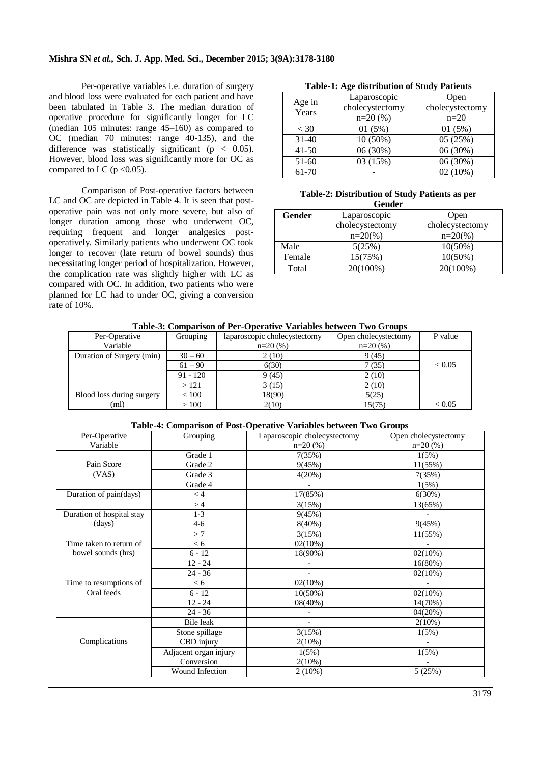Per-operative variables i.e. duration of surgery and blood loss were evaluated for each patient and have been tabulated in Table 3. The median duration of operative procedure for significantly longer for LC (median 105 minutes: range 45–160) as compared to OC (median 70 minutes: range 40-135), and the difference was statistically significant ( $p < 0.05$ ). However, blood loss was significantly more for OC as compared to LC ( $p < 0.05$ ).

Comparison of Post-operative factors between LC and OC are depicted in Table 4. It is seen that postoperative pain was not only more severe, but also of longer duration among those who underwent OC, requiring frequent and longer analgesics postoperatively. Similarly patients who underwent OC took longer to recover (late return of bowel sounds) thus necessitating longer period of hospitalization. However, the complication rate was slightly higher with LC as compared with OC. In addition, two patients who were planned for LC had to under OC, giving a conversion rate of 10%.

#### **Table-1: Age distribution of Study Patients**

| Age in<br>Years | Laparoscopic    | Open            |  |
|-----------------|-----------------|-----------------|--|
|                 | cholecystectomy | cholecystectomy |  |
|                 | $n=20(%)$       | $n=20$          |  |
| < 30            | 01(5%)          | 01(5%)          |  |
| $31 - 40$       | $10(50\%)$      | 05(25%)         |  |
| $41 - 50$       | 06 (30%)        | 06 (30%)        |  |
| $51-60$         | 03 (15%)        | 06 (30%)        |  |
| 61-70           |                 | $02(10\%)$      |  |

#### **Table-2: Distribution of Study Patients as per Gender**

| <u>u viima</u> |                    |                   |  |  |  |
|----------------|--------------------|-------------------|--|--|--|
| Gender         | Laparoscopic       | Open              |  |  |  |
|                | cholecystectomy    | cholecystectomy   |  |  |  |
|                | $n=20\frac{\%}{2}$ | $n=20\frac{6}{6}$ |  |  |  |
| Male           | 5(25%)             | $10(50\%)$        |  |  |  |
| Female         | 15(75%)            | $10(50\%)$        |  |  |  |
| Total          | 20(100%)           | 20(100%)          |  |  |  |

| Per-Operative             | Grouping   | laparoscopic cholecystectomy | Open cholecystectomy | P value |
|---------------------------|------------|------------------------------|----------------------|---------|
| Variable                  |            | $n=20(%$<br>$n=20(%$         |                      |         |
| Duration of Surgery (min) | $30 - 60$  | 2(10)                        | 9(45)                |         |
|                           | $61 - 90$  | 6(30)                        | 7(35)                | < 0.05  |
|                           | $91 - 120$ | 9(45)                        | 2(10)                |         |
|                           | >121       | 3(15)                        | 2(10)                |         |
| Blood loss during surgery | < 100      | 18(90)                       | 5(25)                |         |
| (ml)                      | >100       | 2(10)                        | 15(75)               | < 0.05  |

| Per-Operative             | Grouping              | Laparoscopic cholecystectomy | Open cholecystectomy |
|---------------------------|-----------------------|------------------------------|----------------------|
| Variable                  |                       | $n=20(%$                     | $n=20(%)$            |
|                           | Grade 1               | 7(35%)                       | 1(5%)                |
| Pain Score                | Grade 2               | 9(45%)                       | 11(55%)              |
| (VAS)                     | Grade 3               | 4(20%)                       | 7(35%)               |
|                           | Grade 4               |                              | 1(5%)                |
| Duration of pain(days)    | < 4                   | 17(85%)                      | 6(30%)               |
|                           | >4                    | 3(15%)                       | 13(65%)              |
| Duration of hospital stay | $1-3$                 | 9(45%)                       |                      |
| (days)                    | $4 - 6$               | $8(40\%)$                    | 9(45%)               |
|                           | >7                    | 3(15%)                       | 11(55%)              |
| Time taken to return of   | < 6                   | 02(10%)                      |                      |
| bowel sounds (hrs)        | $6 - 12$              | 18(90%)                      | $02(10\%)$           |
|                           | $12 - 24$             | $\overline{\phantom{a}}$     | 16(80%)              |
|                           | $24 - 36$             | $\overline{\phantom{a}}$     | 02(10%)              |
| Time to resumptions of    | < 6                   | 02(10%)                      |                      |
| Oral feeds                | $6 - 12$              | $10(50\%)$                   | 02(10%)              |
|                           | $12 - 24$             | 08(40%)                      | 14(70%)              |
|                           | $24 - 36$             |                              | 04(20%)              |
|                           | <b>Bile leak</b>      |                              | $2(10\%)$            |
|                           | Stone spillage        | 3(15%)                       | 1(5%)                |
| Complications             | CBD injury            | 2(10%)                       | $\overline{a}$       |
|                           | Adjacent organ injury | 1(5%)                        | 1(5%)                |
|                           | Conversion            | 2(10%)                       |                      |
|                           | Wound Infection       | 2(10%)                       | 5(25%)               |

#### **Table-4: Comparison of Post-Operative Variables between Two Groups**